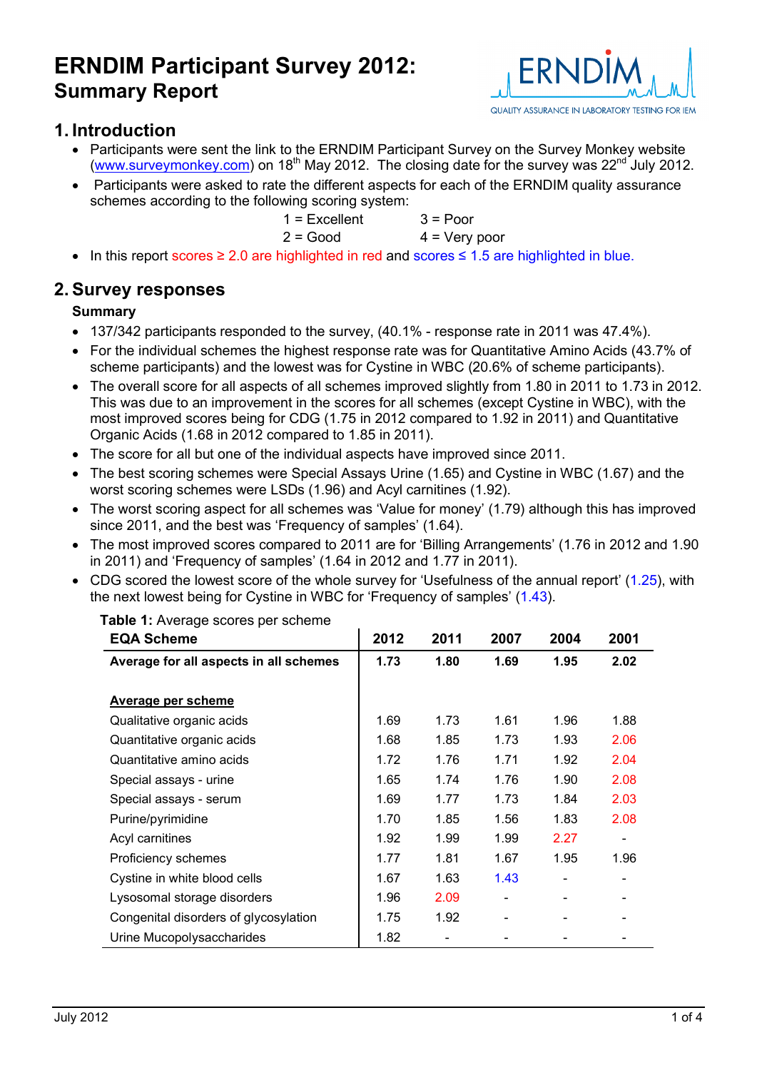

### **1. Introduction**

- Participants were sent the link to the ERNDIM Participant Survey on the Survey Monkey website ([www.surveymonkey.com](http://www.surveymonkey.com/)) on 18<sup>th</sup> May 2012. The closing date for the survey was  $22^{nd}$  July 2012.
- Participants were asked to rate the different aspects for each of the ERNDIM quality assurance schemes according to the following scoring system:

| $1 =$ Excellent | $3 =$ Poor      |
|-----------------|-----------------|
| $2 = Good$      | $4 = Very poor$ |

In this report scores  $\geq 2.0$  are highlighted in red and scores  $\leq 1.5$  are highlighted in blue.

### **2. Survey responses**

#### **Summary**

- 137/342 participants responded to the survey, (40.1% response rate in 2011 was 47.4%).
- For the individual schemes the highest response rate was for Quantitative Amino Acids (43.7% of scheme participants) and the lowest was for Cystine in WBC (20.6% of scheme participants).
- The overall score for all aspects of all schemes improved slightly from 1.80 in 2011 to 1.73 in 2012. This was due to an improvement in the scores for all schemes (except Cystine in WBC), with the most improved scores being for CDG (1.75 in 2012 compared to 1.92 in 2011) and Quantitative Organic Acids (1.68 in 2012 compared to 1.85 in 2011).
- The score for all but one of the individual aspects have improved since 2011.
- The best scoring schemes were Special Assays Urine (1.65) and Cystine in WBC (1.67) and the worst scoring schemes were LSDs (1.96) and Acyl carnitines (1.92).
- The worst scoring aspect for all schemes was 'Value for money' (1.79) although this has improved since 2011, and the best was 'Frequency of samples' (1.64).
- The most improved scores compared to 2011 are for 'Billing Arrangements' (1.76 in 2012 and 1.90 in 2011) and 'Frequency of samples' (1.64 in 2012 and 1.77 in 2011).
- CDG scored the lowest score of the whole survey for 'Usefulness of the annual report' (1.25), with the next lowest being for Cystine in WBC for 'Frequency of samples' (1.43).

| <b>EQA Scheme</b>                      | 2012 | 2011 | 2007 | 2004 | 2001 |
|----------------------------------------|------|------|------|------|------|
| Average for all aspects in all schemes | 1.73 | 1.80 | 1.69 | 1.95 | 2.02 |
|                                        |      |      |      |      |      |
| <b>Average per scheme</b>              |      |      |      |      |      |
| Qualitative organic acids              | 1.69 | 1.73 | 1.61 | 1.96 | 1.88 |
| Quantitative organic acids             | 1.68 | 1.85 | 1.73 | 1.93 | 2.06 |
| Quantitative amino acids               | 1.72 | 1.76 | 1.71 | 1.92 | 2.04 |
| Special assays - urine                 | 1.65 | 1.74 | 1.76 | 1.90 | 2.08 |
| Special assays - serum                 | 1.69 | 1.77 | 1.73 | 1.84 | 2.03 |
| Purine/pyrimidine                      | 1.70 | 1.85 | 1.56 | 1.83 | 2.08 |
| Acyl carnitines                        | 1.92 | 1.99 | 1.99 | 2.27 |      |
| Proficiency schemes                    | 1.77 | 1.81 | 1.67 | 1.95 | 1.96 |
| Cystine in white blood cells           | 1.67 | 1.63 | 1.43 |      |      |
| Lysosomal storage disorders            | 1.96 | 2.09 |      |      |      |
| Congenital disorders of glycosylation  | 1.75 | 1.92 |      |      |      |
| Urine Mucopolysaccharides              | 1.82 |      |      |      |      |

**Table 1:** Average scores per scheme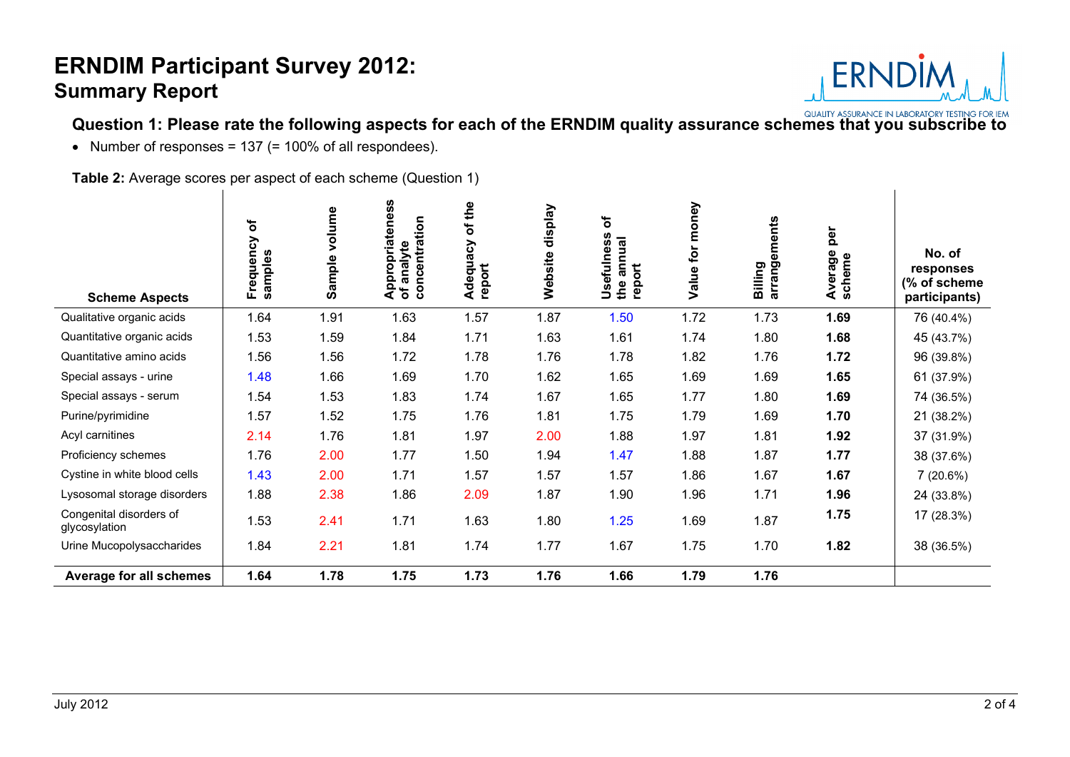

**Question 1: Please rate the following aspects for each of the ERNDIM quality assurance schemes that you subscribe to**

• Number of responses =  $137$  (=  $100\%$  of all respondees).

**Table 2:** Average scores per aspect of each scheme (Question 1)

| <b>Scheme Aspects</b>                    | $\overline{\sigma}$<br>Frequency<br>samples | volume<br>Sample | Appropriateness<br>of analyte<br>concentration<br>analyte | of the<br>Adequacy<br>report | display<br>Website | ð<br>Usefulness<br>annual<br>report<br>the | money<br>for<br>Value | ements<br>arrang<br>Billing | per<br>Average<br>scheme | No. of<br>responses<br>(% of scheme<br>participants) |
|------------------------------------------|---------------------------------------------|------------------|-----------------------------------------------------------|------------------------------|--------------------|--------------------------------------------|-----------------------|-----------------------------|--------------------------|------------------------------------------------------|
| Qualitative organic acids                | 1.64                                        | 1.91             | 1.63                                                      | 1.57                         | 1.87               | 1.50                                       | 1.72                  | 1.73                        | 1.69                     | 76 (40.4%)                                           |
| Quantitative organic acids               | 1.53                                        | 1.59             | 1.84                                                      | 1.71                         | 1.63               | 1.61                                       | 1.74                  | 1.80                        | 1.68                     | 45 (43.7%)                                           |
| Quantitative amino acids                 | 1.56                                        | 1.56             | 1.72                                                      | 1.78                         | 1.76               | 1.78                                       | 1.82                  | 1.76                        | 1.72                     | 96 (39.8%)                                           |
| Special assays - urine                   | 1.48                                        | 1.66             | 1.69                                                      | 1.70                         | 1.62               | 1.65                                       | 1.69                  | 1.69                        | 1.65                     | 61 (37.9%)                                           |
| Special assays - serum                   | 1.54                                        | 1.53             | 1.83                                                      | 1.74                         | 1.67               | 1.65                                       | 1.77                  | 1.80                        | 1.69                     | 74 (36.5%)                                           |
| Purine/pyrimidine                        | 1.57                                        | 1.52             | 1.75                                                      | 1.76                         | 1.81               | 1.75                                       | 1.79                  | 1.69                        | 1.70                     | 21 (38.2%)                                           |
| Acyl carnitines                          | 2.14                                        | 1.76             | 1.81                                                      | 1.97                         | 2.00               | 1.88                                       | 1.97                  | 1.81                        | 1.92                     | 37 (31.9%)                                           |
| Proficiency schemes                      | 1.76                                        | 2.00             | 1.77                                                      | 1.50                         | 1.94               | 1.47                                       | 1.88                  | 1.87                        | 1.77                     | 38 (37.6%)                                           |
| Cystine in white blood cells             | 1.43                                        | 2.00             | 1.71                                                      | 1.57                         | 1.57               | 1.57                                       | 1.86                  | 1.67                        | 1.67                     | 7(20.6%)                                             |
| Lysosomal storage disorders              | 1.88                                        | 2.38             | 1.86                                                      | 2.09                         | 1.87               | 1.90                                       | 1.96                  | 1.71                        | 1.96                     | 24 (33.8%)                                           |
| Congenital disorders of<br>glycosylation | 1.53                                        | 2.41             | 1.71                                                      | 1.63                         | 1.80               | 1.25                                       | 1.69                  | 1.87                        | 1.75                     | 17 (28.3%)                                           |
| Urine Mucopolysaccharides                | 1.84                                        | 2.21             | 1.81                                                      | 1.74                         | 1.77               | 1.67                                       | 1.75                  | 1.70                        | 1.82                     | 38 (36.5%)                                           |
| Average for all schemes                  | 1.64                                        | 1.78             | 1.75                                                      | 1.73                         | 1.76               | 1.66                                       | 1.79                  | 1.76                        |                          |                                                      |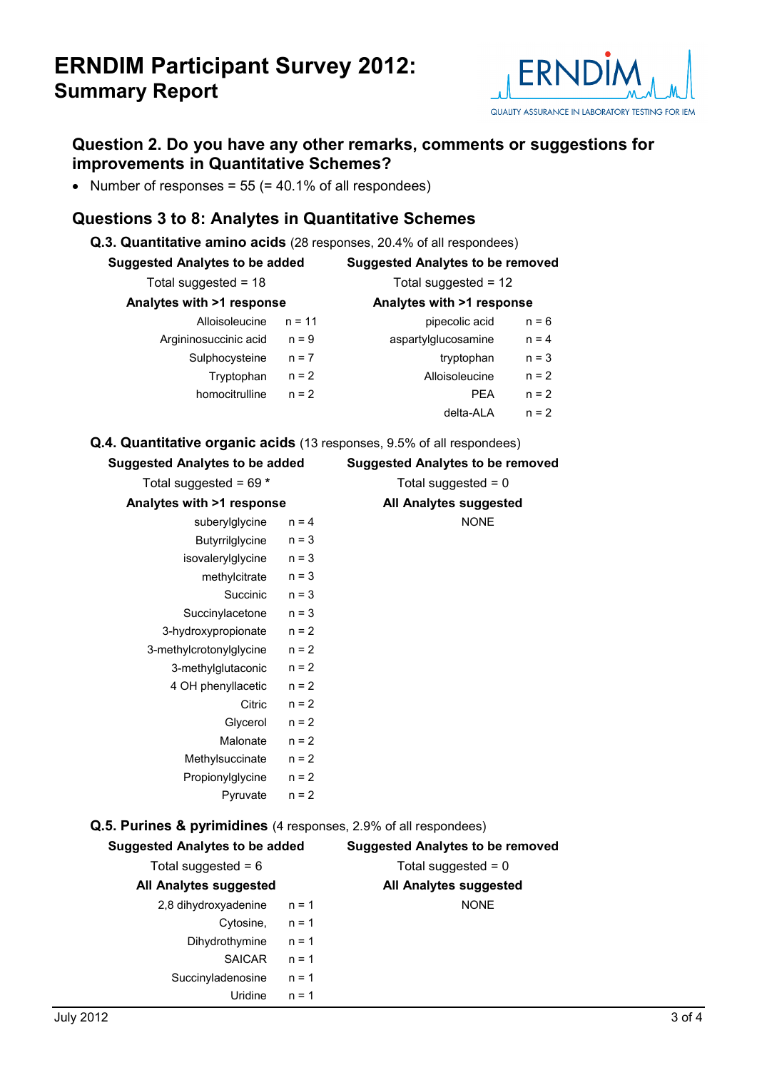

### **Question 2. Do you have any other remarks, comments or suggestions for improvements in Quantitative Schemes?**

• Number of responses =  $55$  (=  $40.1\%$  of all respondees)

### **Questions 3 to 8: Analytes in Quantitative Schemes**

| <b>Suggested Analytes to be added</b> |          | <b>Suggested Analytes to be removed</b> |         |  |
|---------------------------------------|----------|-----------------------------------------|---------|--|
| Total suggested = $18$                |          | Total suggested = $12$                  |         |  |
| Analytes with >1 response             |          | Analytes with >1 response               |         |  |
| Alloisoleucine                        | $n = 11$ | pipecolic acid                          | $n = 6$ |  |
| Argininosuccinic acid                 | $n = 9$  | aspartylglucosamine                     | $n = 4$ |  |
| Sulphocysteine                        | $n = 7$  | tryptophan                              | $n = 3$ |  |
| Tryptophan                            | $n = 2$  | Alloisoleucine                          | $n = 2$ |  |
| homocitrulline                        | $n = 2$  | <b>PEA</b>                              | $n = 2$ |  |
|                                       |          | delta-ALA                               | $n = 2$ |  |

#### **Q.4. Quantitative organic acids** (13 responses, 9.5% of all respondees)

| <b>Suggested Analytes to be added</b>                            |         | <b>Suggested Analytes to be removed</b> |
|------------------------------------------------------------------|---------|-----------------------------------------|
| Total suggested = $69 *$                                         |         | Total suggested = $0$                   |
| Analytes with >1 response                                        |         | All Analytes suggested                  |
| suberylglycine                                                   | $n = 4$ | <b>NONE</b>                             |
| Butyrrilglycine                                                  | $n = 3$ |                                         |
| isovalerylglycine                                                | $n = 3$ |                                         |
| methylcitrate                                                    | $n = 3$ |                                         |
| Succinic                                                         | $n = 3$ |                                         |
| Succinylacetone                                                  | $n = 3$ |                                         |
| 3-hydroxypropionate                                              | $n = 2$ |                                         |
| 3-methylcrotonylglycine                                          | $n = 2$ |                                         |
| 3-methylglutaconic                                               | $n = 2$ |                                         |
| 4 OH phenyllacetic                                               | $n = 2$ |                                         |
| Citric                                                           | $n = 2$ |                                         |
| Glycerol                                                         | $n = 2$ |                                         |
| Malonate                                                         | $n = 2$ |                                         |
| Methylsuccinate                                                  | $n = 2$ |                                         |
| Propionylglycine                                                 | $n = 2$ |                                         |
| Pyruvate                                                         | $n = 2$ |                                         |
| Q.5. Purines & pyrimidines (4 responses, 2.9% of all respondees) |         |                                         |
| <b>Suggested Analytes to be added</b>                            |         | <b>Suggested Analytes to be removed</b> |
| Total suggested = $6$                                            |         | Total suggested = $0$                   |
| All Analytes suggested                                           |         | All Analytes suggested                  |
| 2,8 dihydroxyadenine                                             | $n = 1$ | <b>NONE</b>                             |
| Cytosine,                                                        | $n = 1$ |                                         |
| Dihydrothymine $n = 1$                                           |         |                                         |
| SAICAR                                                           | $n = 1$ |                                         |
| Succinyladenosine                                                | $n = 1$ |                                         |
| Uridine                                                          | $n = 1$ |                                         |